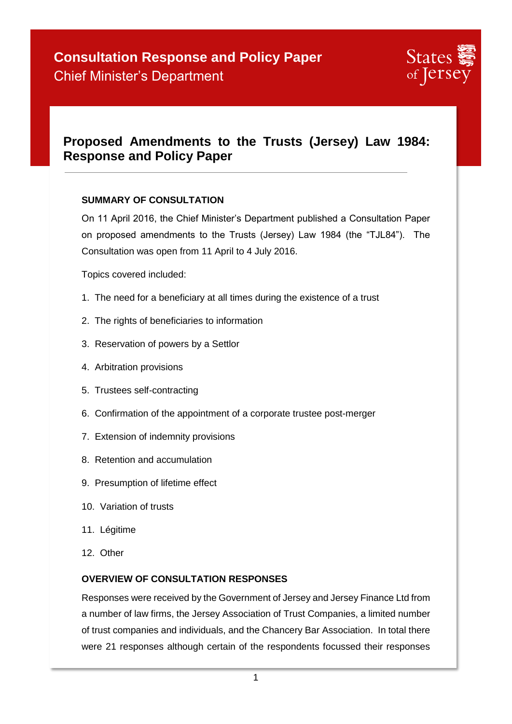## **Proposed Amendments to the Trusts (Jersey) Law 1984: Response and Policy Paper**

#### **SUMMARY OF CONSULTATION**

On 11 April 2016, the Chief Minister's Department published a Consultation Paper on proposed amendments to the Trusts (Jersey) Law 1984 (the "TJL84"). The Consultation was open from 11 April to 4 July 2016.

Topics covered included:

- 1. The need for a beneficiary at all times during the existence of a trust
- 2. The rights of beneficiaries to information
- 3. Reservation of powers by a Settlor
- 4. Arbitration provisions
- 5. Trustees self-contracting
- 6. Confirmation of the appointment of a corporate trustee post-merger
- 7. Extension of indemnity provisions
- 8. Retention and accumulation
- 9. Presumption of lifetime effect
- 10. Variation of trusts
- 11. Légitime
- 12. Other

#### **OVERVIEW OF CONSULTATION RESPONSES**

Responses were received by the Government of Jersey and Jersey Finance Ltd from a number of law firms, the Jersey Association of Trust Companies, a limited number of trust companies and individuals, and the Chancery Bar Association. In total there were 21 responses although certain of the respondents focussed their responses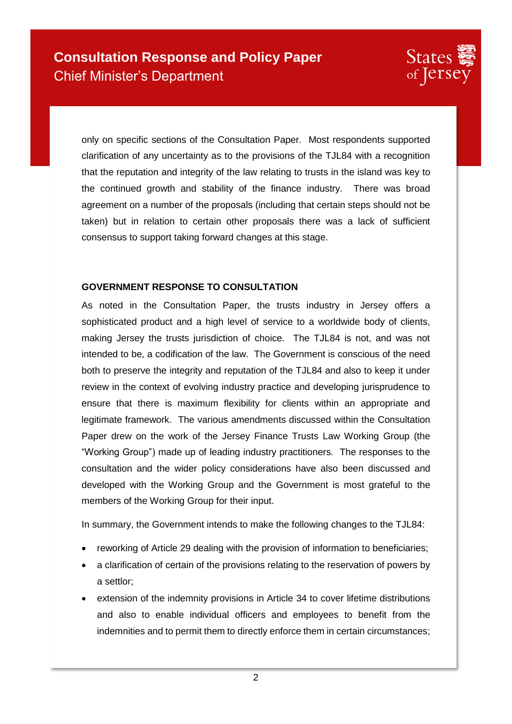

only on specific sections of the Consultation Paper. Most respondents supported clarification of any uncertainty as to the provisions of the TJL84 with a recognition that the reputation and integrity of the law relating to trusts in the island was key to the continued growth and stability of the finance industry. There was broad agreement on a number of the proposals (including that certain steps should not be taken) but in relation to certain other proposals there was a lack of sufficient consensus to support taking forward changes at this stage.

#### **GOVERNMENT RESPONSE TO CONSULTATION**

As noted in the Consultation Paper, the trusts industry in Jersey offers a sophisticated product and a high level of service to a worldwide body of clients, making Jersey the trusts jurisdiction of choice. The TJL84 is not, and was not intended to be, a codification of the law. The Government is conscious of the need both to preserve the integrity and reputation of the TJL84 and also to keep it under review in the context of evolving industry practice and developing jurisprudence to ensure that there is maximum flexibility for clients within an appropriate and legitimate framework. The various amendments discussed within the Consultation Paper drew on the work of the Jersey Finance Trusts Law Working Group (the "Working Group") made up of leading industry practitioners. The responses to the consultation and the wider policy considerations have also been discussed and developed with the Working Group and the Government is most grateful to the members of the Working Group for their input.

In summary, the Government intends to make the following changes to the TJL84:

- reworking of Article 29 dealing with the provision of information to beneficiaries;
- a clarification of certain of the provisions relating to the reservation of powers by a settlor;
- extension of the indemnity provisions in Article 34 to cover lifetime distributions and also to enable individual officers and employees to benefit from the indemnities and to permit them to directly enforce them in certain circumstances;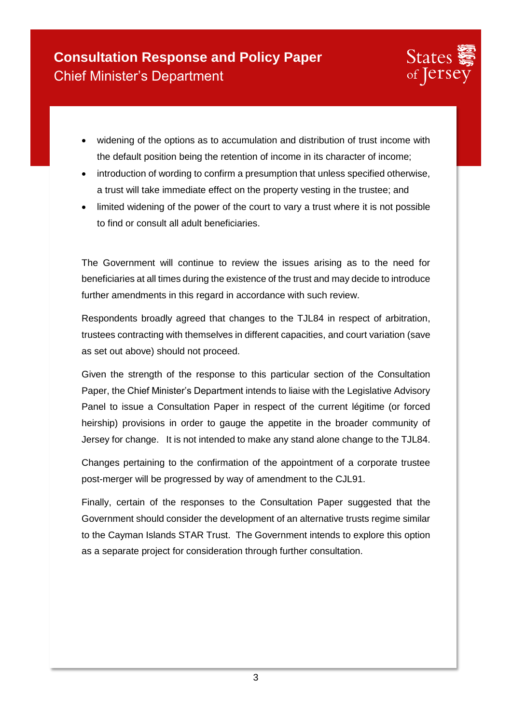

- widening of the options as to accumulation and distribution of trust income with the default position being the retention of income in its character of income;
- introduction of wording to confirm a presumption that unless specified otherwise, a trust will take immediate effect on the property vesting in the trustee; and
- limited widening of the power of the court to vary a trust where it is not possible to find or consult all adult beneficiaries.

The Government will continue to review the issues arising as to the need for beneficiaries at all times during the existence of the trust and may decide to introduce further amendments in this regard in accordance with such review.

Respondents broadly agreed that changes to the TJL84 in respect of arbitration, trustees contracting with themselves in different capacities, and court variation (save as set out above) should not proceed.

Given the strength of the response to this particular section of the Consultation Paper, the Chief Minister's Department intends to liaise with the Legislative Advisory Panel to issue a Consultation Paper in respect of the current légitime (or forced heirship) provisions in order to gauge the appetite in the broader community of Jersey for change. It is not intended to make any stand alone change to the TJL84.

Changes pertaining to the confirmation of the appointment of a corporate trustee post-merger will be progressed by way of amendment to the CJL91.

Finally, certain of the responses to the Consultation Paper suggested that the Government should consider the development of an alternative trusts regime similar to the Cayman Islands STAR Trust. The Government intends to explore this option as a separate project for consideration through further consultation.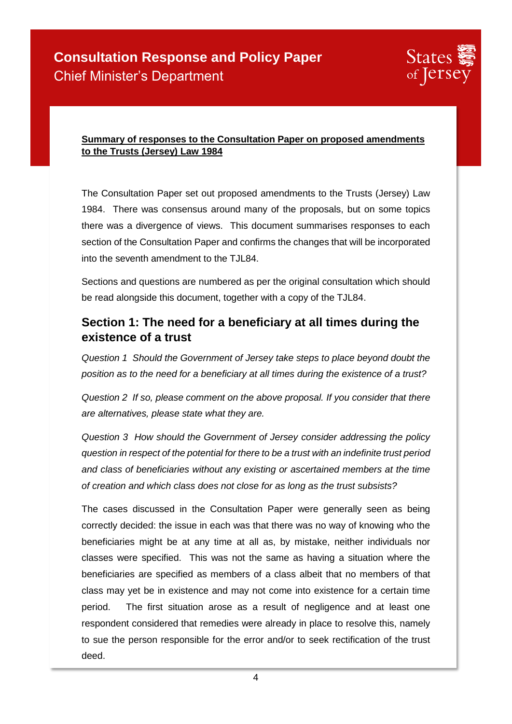

#### **Summary of responses to the Consultation Paper on proposed amendments to the Trusts (Jersey) Law 1984**

The Consultation Paper set out proposed amendments to the Trusts (Jersey) Law 1984. There was consensus around many of the proposals, but on some topics there was a divergence of views. This document summarises responses to each section of the Consultation Paper and confirms the changes that will be incorporated into the seventh amendment to the TJL84.

Sections and questions are numbered as per the original consultation which should be read alongside this document, together with a copy of the TJL84.

### **Section 1: The need for a beneficiary at all times during the existence of a trust**

*Question 1 Should the Government of Jersey take steps to place beyond doubt the position as to the need for a beneficiary at all times during the existence of a trust?* 

*Question 2 If so, please comment on the above proposal. If you consider that there are alternatives, please state what they are.* 

*Question 3 How should the Government of Jersey consider addressing the policy question in respect of the potential for there to be a trust with an indefinite trust period and class of beneficiaries without any existing or ascertained members at the time of creation and which class does not close for as long as the trust subsists?* 

The cases discussed in the Consultation Paper were generally seen as being correctly decided: the issue in each was that there was no way of knowing who the beneficiaries might be at any time at all as, by mistake, neither individuals nor classes were specified. This was not the same as having a situation where the beneficiaries are specified as members of a class albeit that no members of that class may yet be in existence and may not come into existence for a certain time period. The first situation arose as a result of negligence and at least one respondent considered that remedies were already in place to resolve this, namely to sue the person responsible for the error and/or to seek rectification of the trust deed.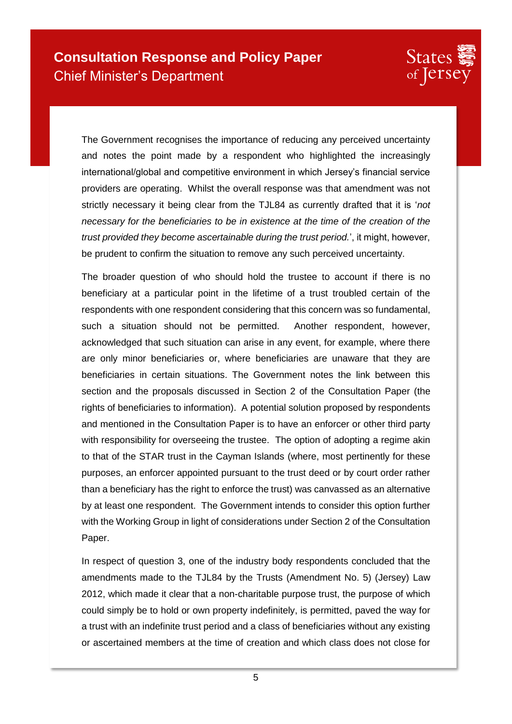

The Government recognises the importance of reducing any perceived uncertainty and notes the point made by a respondent who highlighted the increasingly international/global and competitive environment in which Jersey's financial service providers are operating. Whilst the overall response was that amendment was not strictly necessary it being clear from the TJL84 as currently drafted that it is '*not necessary for the beneficiaries to be in existence at the time of the creation of the trust provided they become ascertainable during the trust period.*', it might, however, be prudent to confirm the situation to remove any such perceived uncertainty.

The broader question of who should hold the trustee to account if there is no beneficiary at a particular point in the lifetime of a trust troubled certain of the respondents with one respondent considering that this concern was so fundamental, such a situation should not be permitted. Another respondent, however, acknowledged that such situation can arise in any event, for example, where there are only minor beneficiaries or, where beneficiaries are unaware that they are beneficiaries in certain situations. The Government notes the link between this section and the proposals discussed in Section 2 of the Consultation Paper (the rights of beneficiaries to information). A potential solution proposed by respondents and mentioned in the Consultation Paper is to have an enforcer or other third party with responsibility for overseeing the trustee. The option of adopting a regime akin to that of the STAR trust in the Cayman Islands (where, most pertinently for these purposes, an enforcer appointed pursuant to the trust deed or by court order rather than a beneficiary has the right to enforce the trust) was canvassed as an alternative by at least one respondent. The Government intends to consider this option further with the Working Group in light of considerations under Section 2 of the Consultation Paper.

In respect of question 3, one of the industry body respondents concluded that the amendments made to the TJL84 by the Trusts (Amendment No. 5) (Jersey) Law 2012, which made it clear that a non-charitable purpose trust, the purpose of which could simply be to hold or own property indefinitely, is permitted, paved the way for a trust with an indefinite trust period and a class of beneficiaries without any existing or ascertained members at the time of creation and which class does not close for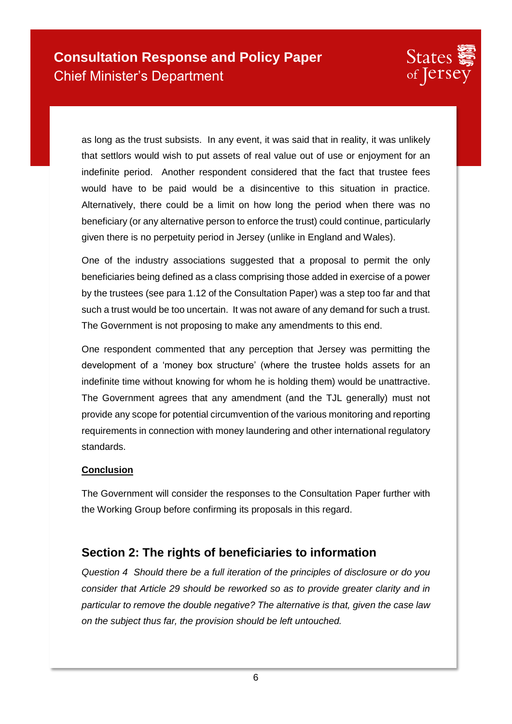

as long as the trust subsists. In any event, it was said that in reality, it was unlikely that settlors would wish to put assets of real value out of use or enjoyment for an indefinite period. Another respondent considered that the fact that trustee fees would have to be paid would be a disincentive to this situation in practice. Alternatively, there could be a limit on how long the period when there was no beneficiary (or any alternative person to enforce the trust) could continue, particularly given there is no perpetuity period in Jersey (unlike in England and Wales).

One of the industry associations suggested that a proposal to permit the only beneficiaries being defined as a class comprising those added in exercise of a power by the trustees (see para 1.12 of the Consultation Paper) was a step too far and that such a trust would be too uncertain. It was not aware of any demand for such a trust. The Government is not proposing to make any amendments to this end.

One respondent commented that any perception that Jersey was permitting the development of a 'money box structure' (where the trustee holds assets for an indefinite time without knowing for whom he is holding them) would be unattractive. The Government agrees that any amendment (and the TJL generally) must not provide any scope for potential circumvention of the various monitoring and reporting requirements in connection with money laundering and other international regulatory standards.

#### **Conclusion**

The Government will consider the responses to the Consultation Paper further with the Working Group before confirming its proposals in this regard.

## **Section 2: The rights of beneficiaries to information**

*Question 4 Should there be a full iteration of the principles of disclosure or do you consider that Article 29 should be reworked so as to provide greater clarity and in particular to remove the double negative? The alternative is that, given the case law on the subject thus far, the provision should be left untouched.*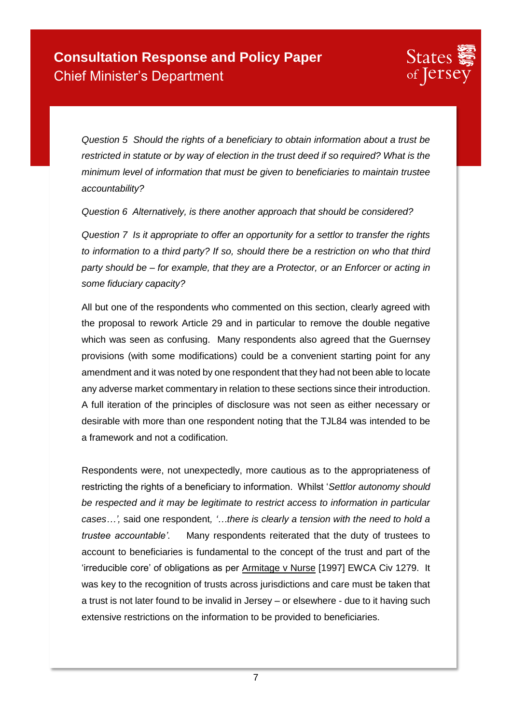

*Question 5 Should the rights of a beneficiary to obtain information about a trust be restricted in statute or by way of election in the trust deed if so required? What is the minimum level of information that must be given to beneficiaries to maintain trustee accountability?* 

*Question 6 Alternatively, is there another approach that should be considered?* 

*Question 7 Is it appropriate to offer an opportunity for a settlor to transfer the rights to information to a third party? If so, should there be a restriction on who that third party should be – for example, that they are a Protector, or an Enforcer or acting in some fiduciary capacity?* 

All but one of the respondents who commented on this section, clearly agreed with the proposal to rework Article 29 and in particular to remove the double negative which was seen as confusing. Many respondents also agreed that the Guernsey provisions (with some modifications) could be a convenient starting point for any amendment and it was noted by one respondent that they had not been able to locate any adverse market commentary in relation to these sections since their introduction. A full iteration of the principles of disclosure was not seen as either necessary or desirable with more than one respondent noting that the TJL84 was intended to be a framework and not a codification.

Respondents were, not unexpectedly, more cautious as to the appropriateness of restricting the rights of a beneficiary to information. Whilst '*Settlor autonomy should be respected and it may be legitimate to restrict access to information in particular cases…',* said one respondent*, '…there is clearly a tension with the need to hold a trustee accountable'*. Many respondents reiterated that the duty of trustees to account to beneficiaries is fundamental to the concept of the trust and part of the 'irreducible core' of obligations as per Armitage v Nurse [1997] EWCA Civ 1279. It was key to the recognition of trusts across jurisdictions and care must be taken that a trust is not later found to be invalid in Jersey – or elsewhere - due to it having such extensive restrictions on the information to be provided to beneficiaries.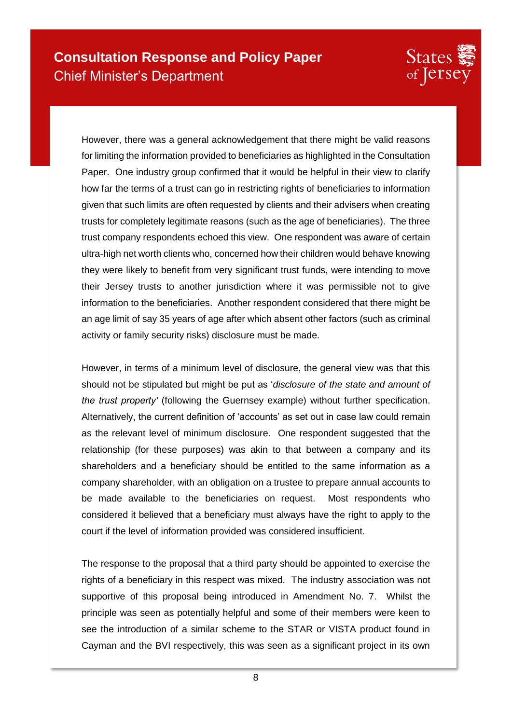

However, there was a general acknowledgement that there might be valid reasons for limiting the information provided to beneficiaries as highlighted in the Consultation Paper. One industry group confirmed that it would be helpful in their view to clarify how far the terms of a trust can go in restricting rights of beneficiaries to information given that such limits are often requested by clients and their advisers when creating trusts for completely legitimate reasons (such as the age of beneficiaries). The three trust company respondents echoed this view. One respondent was aware of certain ultra-high net worth clients who, concerned how their children would behave knowing they were likely to benefit from very significant trust funds, were intending to move their Jersey trusts to another jurisdiction where it was permissible not to give information to the beneficiaries. Another respondent considered that there might be an age limit of say 35 years of age after which absent other factors (such as criminal activity or family security risks) disclosure must be made.

However, in terms of a minimum level of disclosure, the general view was that this should not be stipulated but might be put as '*disclosure of the state and amount of the trust property'* (following the Guernsey example) without further specification. Alternatively, the current definition of 'accounts' as set out in case law could remain as the relevant level of minimum disclosure. One respondent suggested that the relationship (for these purposes) was akin to that between a company and its shareholders and a beneficiary should be entitled to the same information as a company shareholder, with an obligation on a trustee to prepare annual accounts to be made available to the beneficiaries on request. Most respondents who considered it believed that a beneficiary must always have the right to apply to the court if the level of information provided was considered insufficient.

The response to the proposal that a third party should be appointed to exercise the rights of a beneficiary in this respect was mixed. The industry association was not supportive of this proposal being introduced in Amendment No. 7. Whilst the principle was seen as potentially helpful and some of their members were keen to see the introduction of a similar scheme to the STAR or VISTA product found in Cayman and the BVI respectively, this was seen as a significant project in its own

8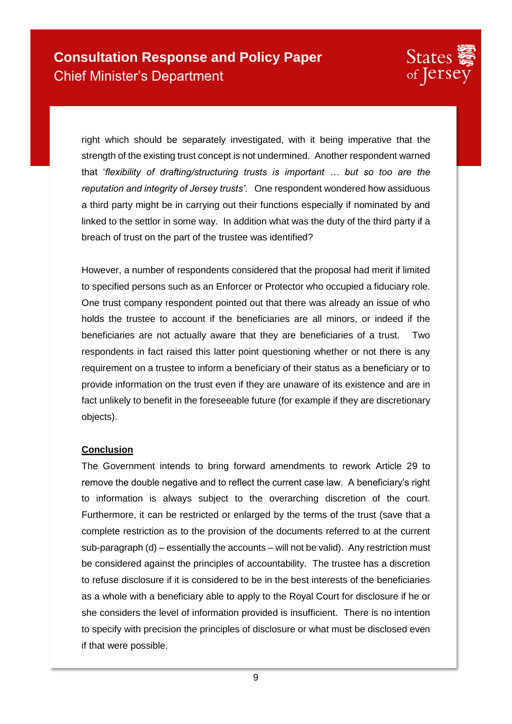

right which should be separately investigated, with it being imperative that the strength of the existing trust concept is not undermined. Another respondent warned that '*flexibility of drafting/structuring trusts is important … but so too are the reputation and integrity of Jersey trusts'*. One respondent wondered how assiduous a third party might be in carrying out their functions especially if nominated by and linked to the settlor in some way. In addition what was the duty of the third party if a breach of trust on the part of the trustee was identified?

However, a number of respondents considered that the proposal had merit if limited to specified persons such as an Enforcer or Protector who occupied a fiduciary role. One trust company respondent pointed out that there was already an issue of who holds the trustee to account if the beneficiaries are all minors, or indeed if the beneficiaries are not actually aware that they are beneficiaries of a trust. Two respondents in fact raised this latter point questioning whether or not there is any requirement on a trustee to inform a beneficiary of their status as a beneficiary or to provide information on the trust even if they are unaware of its existence and are in fact unlikely to benefit in the foreseeable future (for example if they are discretionary objects).

#### **Conclusion**

The Government intends to bring forward amendments to rework Article 29 to remove the double negative and to reflect the current case law. A beneficiary's right to information is always subject to the overarching discretion of the court. Furthermore, it can be restricted or enlarged by the terms of the trust (save that a complete restriction as to the provision of the documents referred to at the current sub-paragraph (d) – essentially the accounts – will not be valid). Any restriction must be considered against the principles of accountability. The trustee has a discretion to refuse disclosure if it is considered to be in the best interests of the beneficiaries as a whole with a beneficiary able to apply to the Royal Court for disclosure if he or she considers the level of information provided is insufficient. There is no intention to specify with precision the principles of disclosure or what must be disclosed even if that were possible.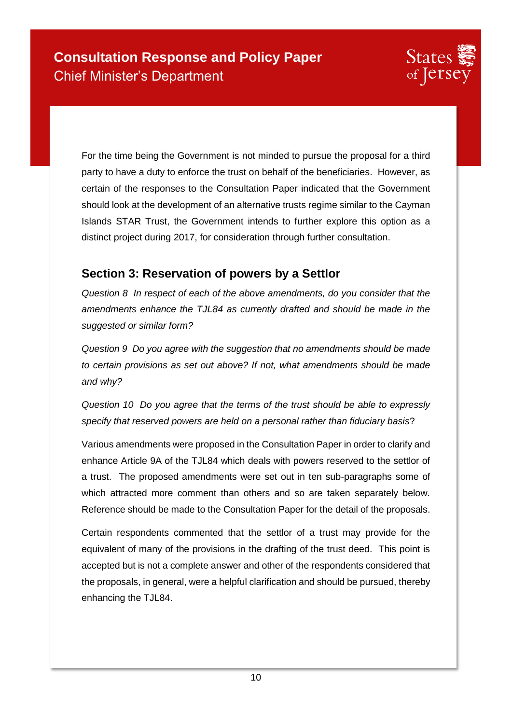For the time being the Government is not minded to pursue the proposal for a third party to have a duty to enforce the trust on behalf of the beneficiaries. However, as certain of the responses to the Consultation Paper indicated that the Government should look at the development of an alternative trusts regime similar to the Cayman Islands STAR Trust, the Government intends to further explore this option as a distinct project during 2017, for consideration through further consultation.

### **Section 3: Reservation of powers by a Settlor**

*Question 8 In respect of each of the above amendments, do you consider that the amendments enhance the TJL84 as currently drafted and should be made in the suggested or similar form?* 

*Question 9 Do you agree with the suggestion that no amendments should be made to certain provisions as set out above? If not, what amendments should be made and why?* 

*Question 10 Do you agree that the terms of the trust should be able to expressly specify that reserved powers are held on a personal rather than fiduciary basis*?

Various amendments were proposed in the Consultation Paper in order to clarify and enhance Article 9A of the TJL84 which deals with powers reserved to the settlor of a trust. The proposed amendments were set out in ten sub-paragraphs some of which attracted more comment than others and so are taken separately below. Reference should be made to the Consultation Paper for the detail of the proposals.

Certain respondents commented that the settlor of a trust may provide for the equivalent of many of the provisions in the drafting of the trust deed. This point is accepted but is not a complete answer and other of the respondents considered that the proposals, in general, were a helpful clarification and should be pursued, thereby enhancing the TJL84.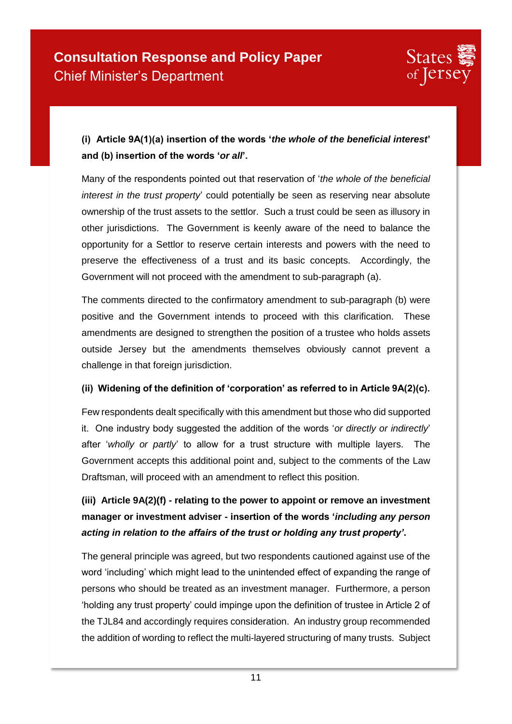

### **(i) Article 9A(1)(a) insertion of the words '***the whole of the beneficial interest***' and (b) insertion of the words '***or all***'.**

Many of the respondents pointed out that reservation of '*the whole of the beneficial interest in the trust property*' could potentially be seen as reserving near absolute ownership of the trust assets to the settlor. Such a trust could be seen as illusory in other jurisdictions. The Government is keenly aware of the need to balance the opportunity for a Settlor to reserve certain interests and powers with the need to preserve the effectiveness of a trust and its basic concepts. Accordingly, the Government will not proceed with the amendment to sub-paragraph (a).

The comments directed to the confirmatory amendment to sub-paragraph (b) were positive and the Government intends to proceed with this clarification. These amendments are designed to strengthen the position of a trustee who holds assets outside Jersey but the amendments themselves obviously cannot prevent a challenge in that foreign jurisdiction.

#### **(ii) Widening of the definition of 'corporation' as referred to in Article 9A(2)(c).**

Few respondents dealt specifically with this amendment but those who did supported it. One industry body suggested the addition of the words '*or directly or indirectly*' after '*wholly or partly*' to allow for a trust structure with multiple layers. The Government accepts this additional point and, subject to the comments of the Law Draftsman, will proceed with an amendment to reflect this position.

## **(iii) Article 9A(2)(f) - relating to the power to appoint or remove an investment manager or investment adviser - insertion of the words '***including any person acting in relation to the affairs of the trust or holding any trust property'***.**

The general principle was agreed, but two respondents cautioned against use of the word 'including' which might lead to the unintended effect of expanding the range of persons who should be treated as an investment manager. Furthermore, a person 'holding any trust property' could impinge upon the definition of trustee in Article 2 of the TJL84 and accordingly requires consideration. An industry group recommended the addition of wording to reflect the multi-layered structuring of many trusts. Subject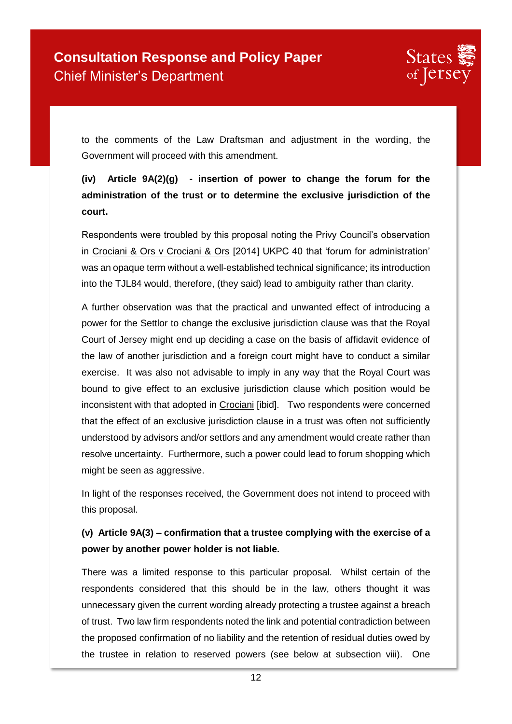

to the comments of the Law Draftsman and adjustment in the wording, the Government will proceed with this amendment.

## **(iv) Article 9A(2)(g) - insertion of power to change the forum for the administration of the trust or to determine the exclusive jurisdiction of the court.**

Respondents were troubled by this proposal noting the Privy Council's observation in Crociani & Ors v Crociani & Ors [2014] UKPC 40 that 'forum for administration' was an opaque term without a well-established technical significance; its introduction into the TJL84 would, therefore, (they said) lead to ambiguity rather than clarity.

A further observation was that the practical and unwanted effect of introducing a power for the Settlor to change the exclusive jurisdiction clause was that the Royal Court of Jersey might end up deciding a case on the basis of affidavit evidence of the law of another jurisdiction and a foreign court might have to conduct a similar exercise. It was also not advisable to imply in any way that the Royal Court was bound to give effect to an exclusive jurisdiction clause which position would be inconsistent with that adopted in Crociani [ibid]. Two respondents were concerned that the effect of an exclusive jurisdiction clause in a trust was often not sufficiently understood by advisors and/or settlors and any amendment would create rather than resolve uncertainty. Furthermore, such a power could lead to forum shopping which might be seen as aggressive.

In light of the responses received, the Government does not intend to proceed with this proposal.

### **(v) Article 9A(3) – confirmation that a trustee complying with the exercise of a power by another power holder is not liable.**

There was a limited response to this particular proposal. Whilst certain of the respondents considered that this should be in the law, others thought it was unnecessary given the current wording already protecting a trustee against a breach of trust. Two law firm respondents noted the link and potential contradiction between the proposed confirmation of no liability and the retention of residual duties owed by the trustee in relation to reserved powers (see below at subsection viii). One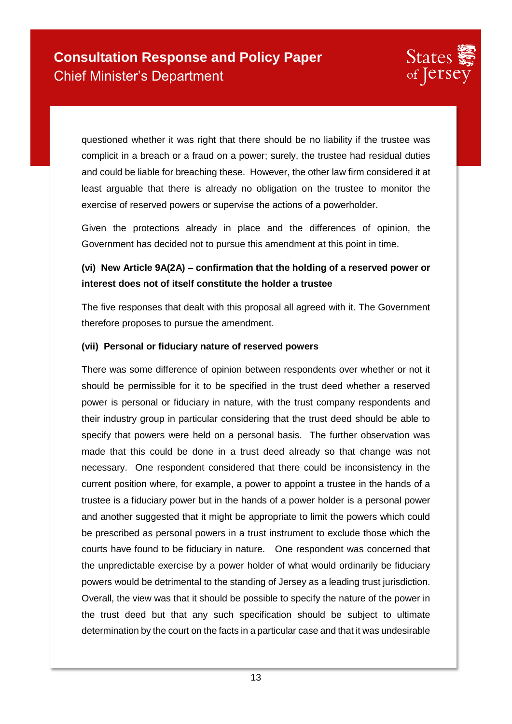

questioned whether it was right that there should be no liability if the trustee was complicit in a breach or a fraud on a power; surely, the trustee had residual duties and could be liable for breaching these. However, the other law firm considered it at least arguable that there is already no obligation on the trustee to monitor the exercise of reserved powers or supervise the actions of a powerholder.

Given the protections already in place and the differences of opinion, the Government has decided not to pursue this amendment at this point in time.

### **(vi) New Article 9A(2A) – confirmation that the holding of a reserved power or interest does not of itself constitute the holder a trustee**

The five responses that dealt with this proposal all agreed with it. The Government therefore proposes to pursue the amendment.

#### **(vii) Personal or fiduciary nature of reserved powers**

There was some difference of opinion between respondents over whether or not it should be permissible for it to be specified in the trust deed whether a reserved power is personal or fiduciary in nature, with the trust company respondents and their industry group in particular considering that the trust deed should be able to specify that powers were held on a personal basis. The further observation was made that this could be done in a trust deed already so that change was not necessary. One respondent considered that there could be inconsistency in the current position where, for example, a power to appoint a trustee in the hands of a trustee is a fiduciary power but in the hands of a power holder is a personal power and another suggested that it might be appropriate to limit the powers which could be prescribed as personal powers in a trust instrument to exclude those which the courts have found to be fiduciary in nature. One respondent was concerned that the unpredictable exercise by a power holder of what would ordinarily be fiduciary powers would be detrimental to the standing of Jersey as a leading trust jurisdiction. Overall, the view was that it should be possible to specify the nature of the power in the trust deed but that any such specification should be subject to ultimate determination by the court on the facts in a particular case and that it was undesirable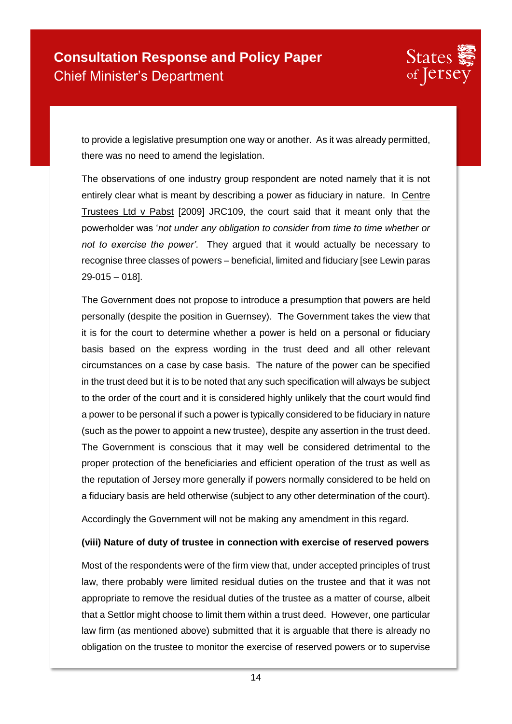

to provide a legislative presumption one way or another. As it was already permitted, there was no need to amend the legislation.

The observations of one industry group respondent are noted namely that it is not entirely clear what is meant by describing a power as fiduciary in nature. In Centre Trustees Ltd v Pabst [2009] JRC109, the court said that it meant only that the powerholder was '*not under any obligation to consider from time to time whether or not to exercise the power'*. They argued that it would actually be necessary to recognise three classes of powers – beneficial, limited and fiduciary [see Lewin paras 29-015 – 018].

The Government does not propose to introduce a presumption that powers are held personally (despite the position in Guernsey). The Government takes the view that it is for the court to determine whether a power is held on a personal or fiduciary basis based on the express wording in the trust deed and all other relevant circumstances on a case by case basis. The nature of the power can be specified in the trust deed but it is to be noted that any such specification will always be subject to the order of the court and it is considered highly unlikely that the court would find a power to be personal if such a power is typically considered to be fiduciary in nature (such as the power to appoint a new trustee), despite any assertion in the trust deed. The Government is conscious that it may well be considered detrimental to the proper protection of the beneficiaries and efficient operation of the trust as well as the reputation of Jersey more generally if powers normally considered to be held on a fiduciary basis are held otherwise (subject to any other determination of the court).

Accordingly the Government will not be making any amendment in this regard.

#### **(viii) Nature of duty of trustee in connection with exercise of reserved powers**

Most of the respondents were of the firm view that, under accepted principles of trust law, there probably were limited residual duties on the trustee and that it was not appropriate to remove the residual duties of the trustee as a matter of course, albeit that a Settlor might choose to limit them within a trust deed. However, one particular law firm (as mentioned above) submitted that it is arguable that there is already no obligation on the trustee to monitor the exercise of reserved powers or to supervise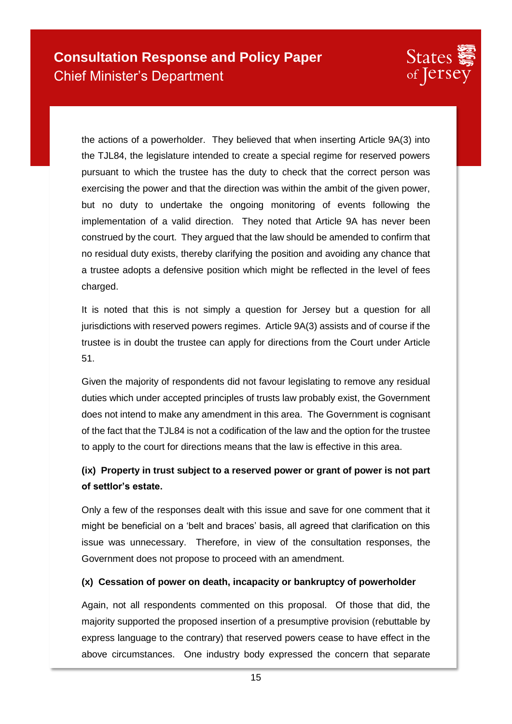

the actions of a powerholder. They believed that when inserting Article 9A(3) into the TJL84, the legislature intended to create a special regime for reserved powers pursuant to which the trustee has the duty to check that the correct person was exercising the power and that the direction was within the ambit of the given power, but no duty to undertake the ongoing monitoring of events following the implementation of a valid direction. They noted that Article 9A has never been construed by the court. They argued that the law should be amended to confirm that no residual duty exists, thereby clarifying the position and avoiding any chance that a trustee adopts a defensive position which might be reflected in the level of fees charged.

It is noted that this is not simply a question for Jersey but a question for all jurisdictions with reserved powers regimes. Article 9A(3) assists and of course if the trustee is in doubt the trustee can apply for directions from the Court under Article 51.

Given the majority of respondents did not favour legislating to remove any residual duties which under accepted principles of trusts law probably exist, the Government does not intend to make any amendment in this area. The Government is cognisant of the fact that the TJL84 is not a codification of the law and the option for the trustee to apply to the court for directions means that the law is effective in this area.

### **(ix) Property in trust subject to a reserved power or grant of power is not part of settlor's estate.**

Only a few of the responses dealt with this issue and save for one comment that it might be beneficial on a 'belt and braces' basis, all agreed that clarification on this issue was unnecessary. Therefore, in view of the consultation responses, the Government does not propose to proceed with an amendment.

#### **(x) Cessation of power on death, incapacity or bankruptcy of powerholder**

Again, not all respondents commented on this proposal. Of those that did, the majority supported the proposed insertion of a presumptive provision (rebuttable by express language to the contrary) that reserved powers cease to have effect in the above circumstances. One industry body expressed the concern that separate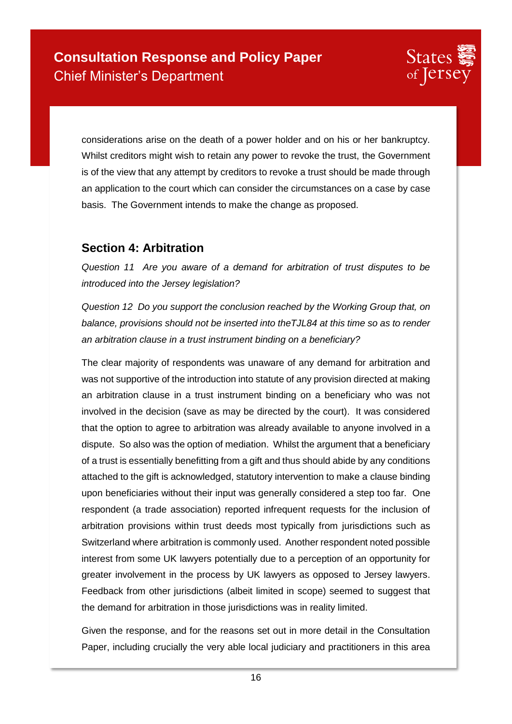

considerations arise on the death of a power holder and on his or her bankruptcy. Whilst creditors might wish to retain any power to revoke the trust, the Government is of the view that any attempt by creditors to revoke a trust should be made through an application to the court which can consider the circumstances on a case by case basis. The Government intends to make the change as proposed.

### **Section 4: Arbitration**

*Question 11 Are you aware of a demand for arbitration of trust disputes to be introduced into the Jersey legislation?* 

*Question 12 Do you support the conclusion reached by the Working Group that, on balance, provisions should not be inserted into theTJL84 at this time so as to render an arbitration clause in a trust instrument binding on a beneficiary?* 

The clear majority of respondents was unaware of any demand for arbitration and was not supportive of the introduction into statute of any provision directed at making an arbitration clause in a trust instrument binding on a beneficiary who was not involved in the decision (save as may be directed by the court). It was considered that the option to agree to arbitration was already available to anyone involved in a dispute. So also was the option of mediation. Whilst the argument that a beneficiary of a trust is essentially benefitting from a gift and thus should abide by any conditions attached to the gift is acknowledged, statutory intervention to make a clause binding upon beneficiaries without their input was generally considered a step too far. One respondent (a trade association) reported infrequent requests for the inclusion of arbitration provisions within trust deeds most typically from jurisdictions such as Switzerland where arbitration is commonly used. Another respondent noted possible interest from some UK lawyers potentially due to a perception of an opportunity for greater involvement in the process by UK lawyers as opposed to Jersey lawyers. Feedback from other jurisdictions (albeit limited in scope) seemed to suggest that the demand for arbitration in those jurisdictions was in reality limited.

Given the response, and for the reasons set out in more detail in the Consultation Paper, including crucially the very able local judiciary and practitioners in this area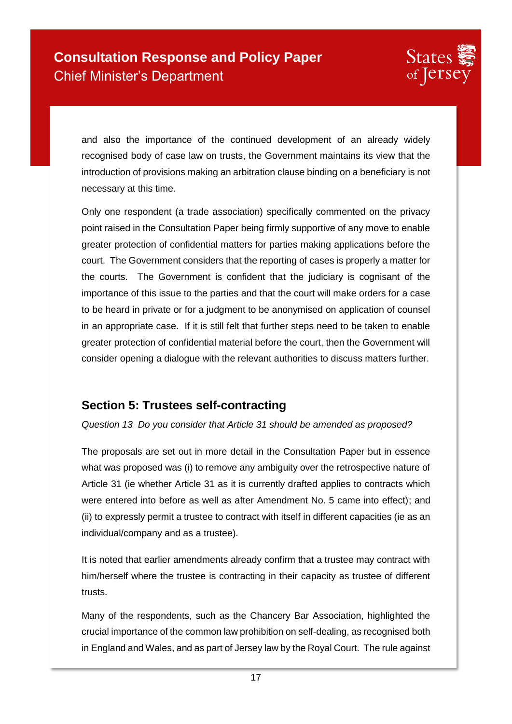and also the importance of the continued development of an already widely recognised body of case law on trusts, the Government maintains its view that the introduction of provisions making an arbitration clause binding on a beneficiary is not necessary at this time.

Only one respondent (a trade association) specifically commented on the privacy point raised in the Consultation Paper being firmly supportive of any move to enable greater protection of confidential matters for parties making applications before the court. The Government considers that the reporting of cases is properly a matter for the courts. The Government is confident that the judiciary is cognisant of the importance of this issue to the parties and that the court will make orders for a case to be heard in private or for a judgment to be anonymised on application of counsel in an appropriate case. If it is still felt that further steps need to be taken to enable greater protection of confidential material before the court, then the Government will consider opening a dialogue with the relevant authorities to discuss matters further.

## **Section 5: Trustees self-contracting**

*Question 13 Do you consider that Article 31 should be amended as proposed?*

The proposals are set out in more detail in the Consultation Paper but in essence what was proposed was (i) to remove any ambiguity over the retrospective nature of Article 31 (ie whether Article 31 as it is currently drafted applies to contracts which were entered into before as well as after Amendment No. 5 came into effect); and (ii) to expressly permit a trustee to contract with itself in different capacities (ie as an individual/company and as a trustee).

It is noted that earlier amendments already confirm that a trustee may contract with him/herself where the trustee is contracting in their capacity as trustee of different trusts.

Many of the respondents, such as the Chancery Bar Association, highlighted the crucial importance of the common law prohibition on self-dealing, as recognised both in England and Wales, and as part of Jersey law by the Royal Court. The rule against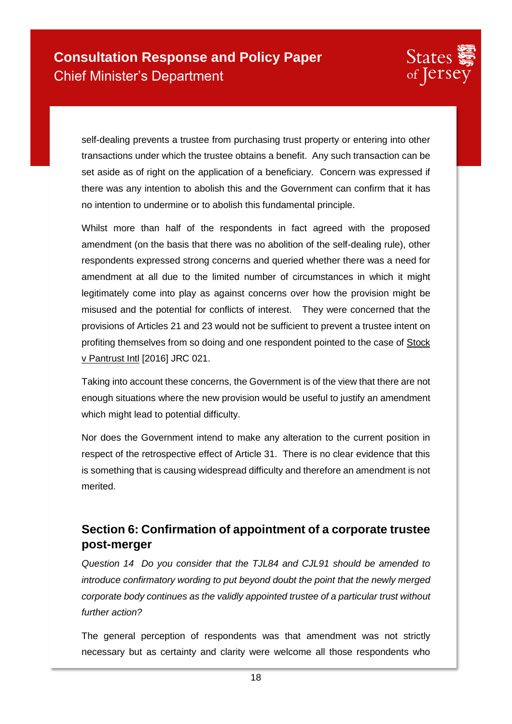

self-dealing prevents a trustee from purchasing trust property or entering into other transactions under which the trustee obtains a benefit. Any such transaction can be set aside as of right on the application of a beneficiary. Concern was expressed if there was any intention to abolish this and the Government can confirm that it has no intention to undermine or to abolish this fundamental principle.

Whilst more than half of the respondents in fact agreed with the proposed amendment (on the basis that there was no abolition of the self-dealing rule), other respondents expressed strong concerns and queried whether there was a need for amendment at all due to the limited number of circumstances in which it might legitimately come into play as against concerns over how the provision might be misused and the potential for conflicts of interest. They were concerned that the provisions of Articles 21 and 23 would not be sufficient to prevent a trustee intent on profiting themselves from so doing and one respondent pointed to the case of Stock v Pantrust Intl [2016] JRC 021.

Taking into account these concerns, the Government is of the view that there are not enough situations where the new provision would be useful to justify an amendment which might lead to potential difficulty.

Nor does the Government intend to make any alteration to the current position in respect of the retrospective effect of Article 31. There is no clear evidence that this is something that is causing widespread difficulty and therefore an amendment is not merited.

## **Section 6: Confirmation of appointment of a corporate trustee post-merger**

*Question 14 Do you consider that the TJL84 and CJL91 should be amended to introduce confirmatory wording to put beyond doubt the point that the newly merged corporate body continues as the validly appointed trustee of a particular trust without further action?* 

The general perception of respondents was that amendment was not strictly necessary but as certainty and clarity were welcome all those respondents who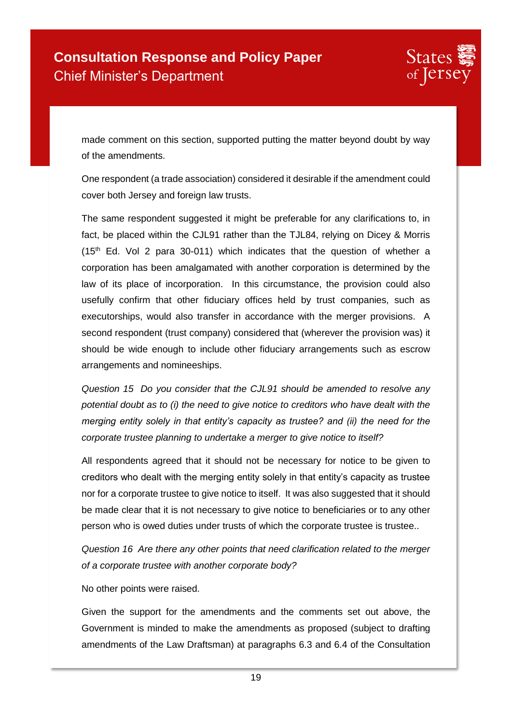

made comment on this section, supported putting the matter beyond doubt by way of the amendments.

One respondent (a trade association) considered it desirable if the amendment could cover both Jersey and foreign law trusts.

The same respondent suggested it might be preferable for any clarifications to, in fact, be placed within the CJL91 rather than the TJL84, relying on Dicey & Morris  $(15<sup>th</sup>$  Ed. Vol 2 para 30-011) which indicates that the question of whether a corporation has been amalgamated with another corporation is determined by the law of its place of incorporation. In this circumstance, the provision could also usefully confirm that other fiduciary offices held by trust companies, such as executorships, would also transfer in accordance with the merger provisions. A second respondent (trust company) considered that (wherever the provision was) it should be wide enough to include other fiduciary arrangements such as escrow arrangements and nomineeships.

*Question 15 Do you consider that the CJL91 should be amended to resolve any potential doubt as to (i) the need to give notice to creditors who have dealt with the merging entity solely in that entity's capacity as trustee? and (ii) the need for the corporate trustee planning to undertake a merger to give notice to itself?* 

All respondents agreed that it should not be necessary for notice to be given to creditors who dealt with the merging entity solely in that entity's capacity as trustee nor for a corporate trustee to give notice to itself. It was also suggested that it should be made clear that it is not necessary to give notice to beneficiaries or to any other person who is owed duties under trusts of which the corporate trustee is trustee..

*Question 16 Are there any other points that need clarification related to the merger of a corporate trustee with another corporate body?* 

No other points were raised.

Given the support for the amendments and the comments set out above, the Government is minded to make the amendments as proposed (subject to drafting amendments of the Law Draftsman) at paragraphs 6.3 and 6.4 of the Consultation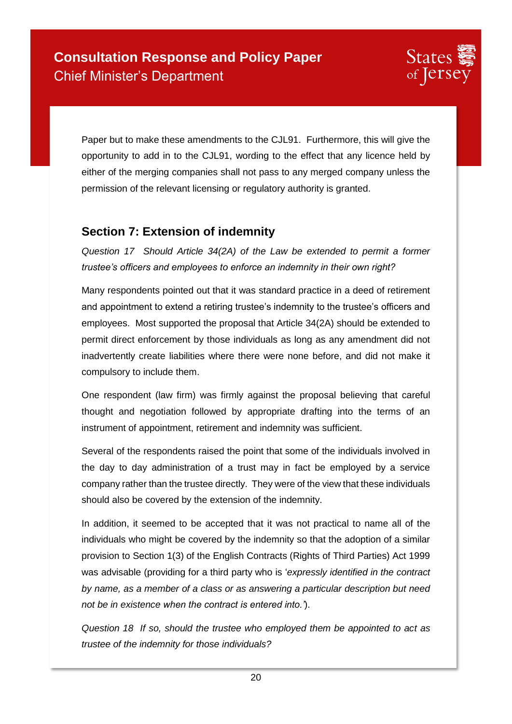Paper but to make these amendments to the CJL91. Furthermore, this will give the opportunity to add in to the CJL91, wording to the effect that any licence held by either of the merging companies shall not pass to any merged company unless the permission of the relevant licensing or regulatory authority is granted.

### **Section 7: Extension of indemnity**

*Question 17 Should Article 34(2A) of the Law be extended to permit a former trustee's officers and employees to enforce an indemnity in their own right?* 

Many respondents pointed out that it was standard practice in a deed of retirement and appointment to extend a retiring trustee's indemnity to the trustee's officers and employees. Most supported the proposal that Article 34(2A) should be extended to permit direct enforcement by those individuals as long as any amendment did not inadvertently create liabilities where there were none before, and did not make it compulsory to include them.

One respondent (law firm) was firmly against the proposal believing that careful thought and negotiation followed by appropriate drafting into the terms of an instrument of appointment, retirement and indemnity was sufficient.

Several of the respondents raised the point that some of the individuals involved in the day to day administration of a trust may in fact be employed by a service company rather than the trustee directly. They were of the view that these individuals should also be covered by the extension of the indemnity.

In addition, it seemed to be accepted that it was not practical to name all of the individuals who might be covered by the indemnity so that the adoption of a similar provision to Section 1(3) of the English Contracts (Rights of Third Parties) Act 1999 was advisable (providing for a third party who is '*expressly identified in the contract by name, as a member of a class or as answering a particular description but need not be in existence when the contract is entered into.'*).

*Question 18 If so, should the trustee who employed them be appointed to act as trustee of the indemnity for those individuals?*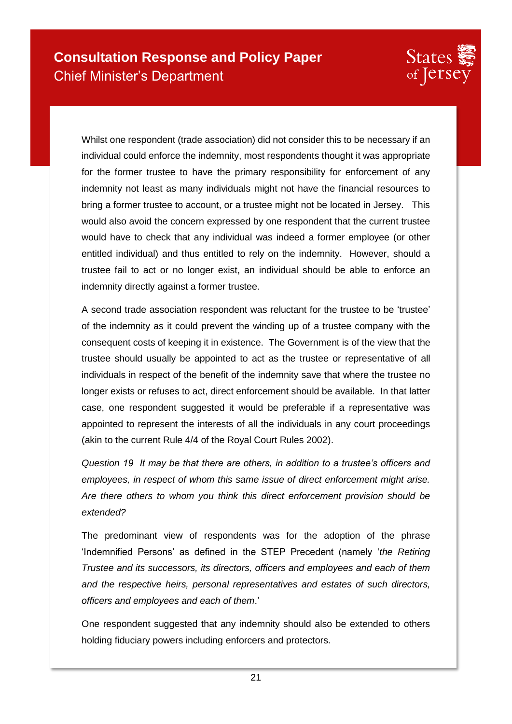

Whilst one respondent (trade association) did not consider this to be necessary if an individual could enforce the indemnity, most respondents thought it was appropriate for the former trustee to have the primary responsibility for enforcement of any indemnity not least as many individuals might not have the financial resources to bring a former trustee to account, or a trustee might not be located in Jersey. This would also avoid the concern expressed by one respondent that the current trustee would have to check that any individual was indeed a former employee (or other entitled individual) and thus entitled to rely on the indemnity. However, should a trustee fail to act or no longer exist, an individual should be able to enforce an indemnity directly against a former trustee.

A second trade association respondent was reluctant for the trustee to be 'trustee' of the indemnity as it could prevent the winding up of a trustee company with the consequent costs of keeping it in existence. The Government is of the view that the trustee should usually be appointed to act as the trustee or representative of all individuals in respect of the benefit of the indemnity save that where the trustee no longer exists or refuses to act, direct enforcement should be available. In that latter case, one respondent suggested it would be preferable if a representative was appointed to represent the interests of all the individuals in any court proceedings (akin to the current Rule 4/4 of the Royal Court Rules 2002).

*Question 19 It may be that there are others, in addition to a trustee's officers and employees, in respect of whom this same issue of direct enforcement might arise. Are there others to whom you think this direct enforcement provision should be extended?* 

The predominant view of respondents was for the adoption of the phrase 'Indemnified Persons' as defined in the STEP Precedent (namely '*the Retiring Trustee and its successors, its directors, officers and employees and each of them and the respective heirs, personal representatives and estates of such directors, officers and employees and each of them*.'

One respondent suggested that any indemnity should also be extended to others holding fiduciary powers including enforcers and protectors.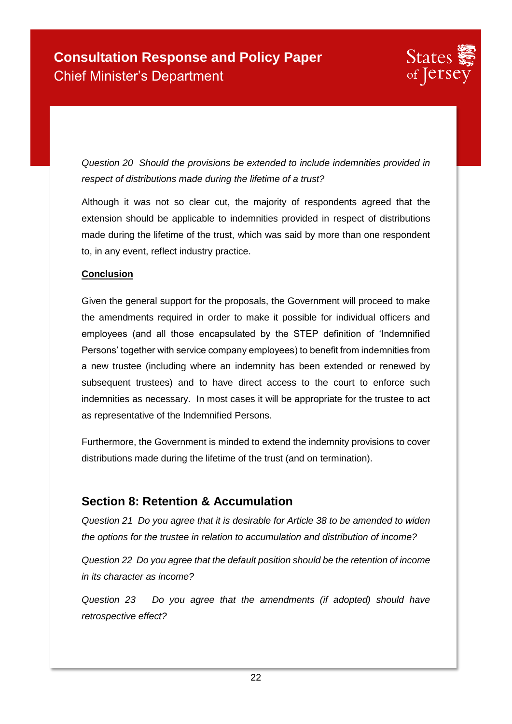*Question 20 Should the provisions be extended to include indemnities provided in respect of distributions made during the lifetime of a trust?* 

Although it was not so clear cut, the majority of respondents agreed that the extension should be applicable to indemnities provided in respect of distributions made during the lifetime of the trust, which was said by more than one respondent to, in any event, reflect industry practice.

#### **Conclusion**

Given the general support for the proposals, the Government will proceed to make the amendments required in order to make it possible for individual officers and employees (and all those encapsulated by the STEP definition of 'Indemnified Persons' together with service company employees) to benefit from indemnities from a new trustee (including where an indemnity has been extended or renewed by subsequent trustees) and to have direct access to the court to enforce such indemnities as necessary. In most cases it will be appropriate for the trustee to act as representative of the Indemnified Persons.

Furthermore, the Government is minded to extend the indemnity provisions to cover distributions made during the lifetime of the trust (and on termination).

## **Section 8: Retention & Accumulation**

*Question 21 Do you agree that it is desirable for Article 38 to be amended to widen the options for the trustee in relation to accumulation and distribution of income?* 

*Question 22 Do you agree that the default position should be the retention of income in its character as income?* 

*Question 23 Do you agree that the amendments (if adopted) should have retrospective effect?*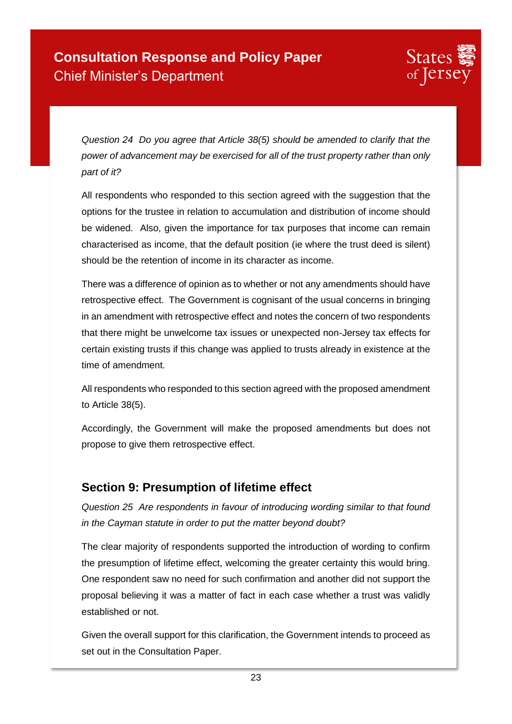

*Question 24 Do you agree that Article 38(5) should be amended to clarify that the power of advancement may be exercised for all of the trust property rather than only part of it?* 

All respondents who responded to this section agreed with the suggestion that the options for the trustee in relation to accumulation and distribution of income should be widened. Also, given the importance for tax purposes that income can remain characterised as income, that the default position (ie where the trust deed is silent) should be the retention of income in its character as income.

There was a difference of opinion as to whether or not any amendments should have retrospective effect. The Government is cognisant of the usual concerns in bringing in an amendment with retrospective effect and notes the concern of two respondents that there might be unwelcome tax issues or unexpected non-Jersey tax effects for certain existing trusts if this change was applied to trusts already in existence at the time of amendment.

All respondents who responded to this section agreed with the proposed amendment to Article 38(5).

Accordingly, the Government will make the proposed amendments but does not propose to give them retrospective effect.

### **Section 9: Presumption of lifetime effect**

*Question 25 Are respondents in favour of introducing wording similar to that found in the Cayman statute in order to put the matter beyond doubt?* 

The clear majority of respondents supported the introduction of wording to confirm the presumption of lifetime effect, welcoming the greater certainty this would bring. One respondent saw no need for such confirmation and another did not support the proposal believing it was a matter of fact in each case whether a trust was validly established or not.

Given the overall support for this clarification, the Government intends to proceed as set out in the Consultation Paper.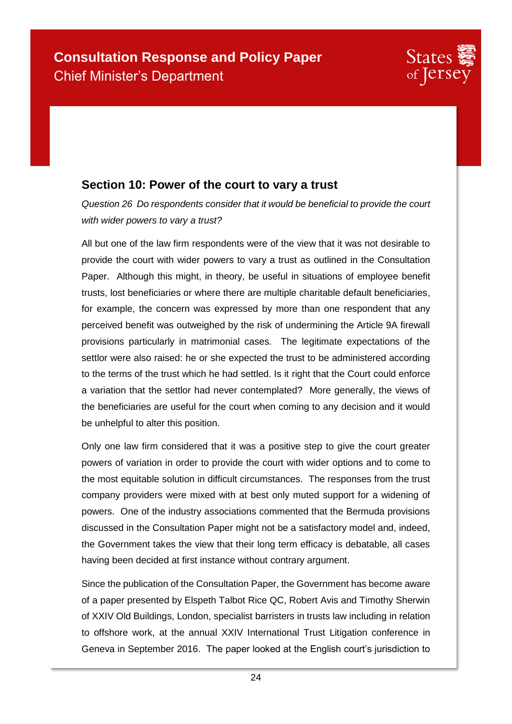## **Section 10: Power of the court to vary a trust**

*Question 26 Do respondents consider that it would be beneficial to provide the court with wider powers to vary a trust?* 

All but one of the law firm respondents were of the view that it was not desirable to provide the court with wider powers to vary a trust as outlined in the Consultation Paper. Although this might, in theory, be useful in situations of employee benefit trusts, lost beneficiaries or where there are multiple charitable default beneficiaries, for example, the concern was expressed by more than one respondent that any perceived benefit was outweighed by the risk of undermining the Article 9A firewall provisions particularly in matrimonial cases. The legitimate expectations of the settlor were also raised: he or she expected the trust to be administered according to the terms of the trust which he had settled. Is it right that the Court could enforce a variation that the settlor had never contemplated? More generally, the views of the beneficiaries are useful for the court when coming to any decision and it would be unhelpful to alter this position.

Only one law firm considered that it was a positive step to give the court greater powers of variation in order to provide the court with wider options and to come to the most equitable solution in difficult circumstances. The responses from the trust company providers were mixed with at best only muted support for a widening of powers. One of the industry associations commented that the Bermuda provisions discussed in the Consultation Paper might not be a satisfactory model and, indeed, the Government takes the view that their long term efficacy is debatable, all cases having been decided at first instance without contrary argument.

Since the publication of the Consultation Paper, the Government has become aware of a paper presented by Elspeth Talbot Rice QC, Robert Avis and Timothy Sherwin of XXIV Old Buildings, London, specialist barristers in trusts law including in relation to offshore work, at the annual XXIV International Trust Litigation conference in Geneva in September 2016. The paper looked at the English court's jurisdiction to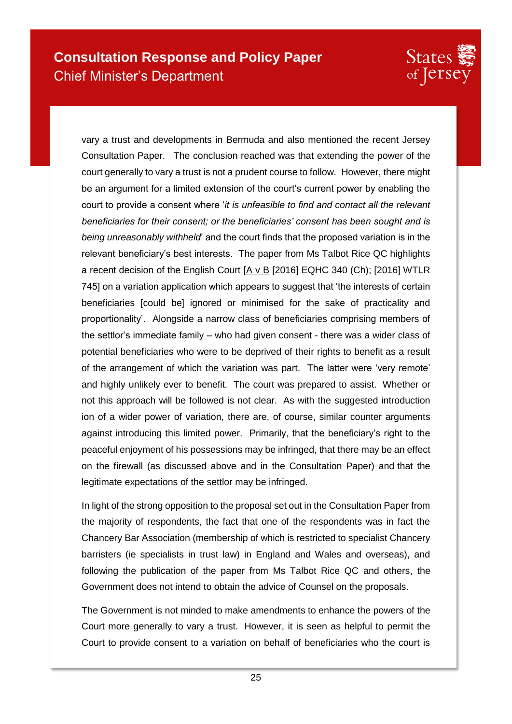

vary a trust and developments in Bermuda and also mentioned the recent Jersey Consultation Paper. The conclusion reached was that extending the power of the court generally to vary a trust is not a prudent course to follow. However, there might be an argument for a limited extension of the court's current power by enabling the court to provide a consent where '*it is unfeasible to find and contact all the relevant beneficiaries for their consent; or the beneficiaries' consent has been sought and is being unreasonably withheld*' and the court finds that the proposed variation is in the relevant beneficiary's best interests. The paper from Ms Talbot Rice QC highlights a recent decision of the English Court [A v B [2016] EQHC 340 (Ch); [2016] WTLR 745] on a variation application which appears to suggest that 'the interests of certain beneficiaries [could be] ignored or minimised for the sake of practicality and proportionality'. Alongside a narrow class of beneficiaries comprising members of the settlor's immediate family – who had given consent - there was a wider class of potential beneficiaries who were to be deprived of their rights to benefit as a result of the arrangement of which the variation was part. The latter were 'very remote' and highly unlikely ever to benefit. The court was prepared to assist. Whether or not this approach will be followed is not clear. As with the suggested introduction ion of a wider power of variation, there are, of course, similar counter arguments against introducing this limited power. Primarily, that the beneficiary's right to the peaceful enjoyment of his possessions may be infringed, that there may be an effect on the firewall (as discussed above and in the Consultation Paper) and that the legitimate expectations of the settlor may be infringed.

In light of the strong opposition to the proposal set out in the Consultation Paper from the majority of respondents, the fact that one of the respondents was in fact the Chancery Bar Association (membership of which is restricted to specialist Chancery barristers (ie specialists in trust law) in England and Wales and overseas), and following the publication of the paper from Ms Talbot Rice QC and others, the Government does not intend to obtain the advice of Counsel on the proposals.

The Government is not minded to make amendments to enhance the powers of the Court more generally to vary a trust. However, it is seen as helpful to permit the Court to provide consent to a variation on behalf of beneficiaries who the court is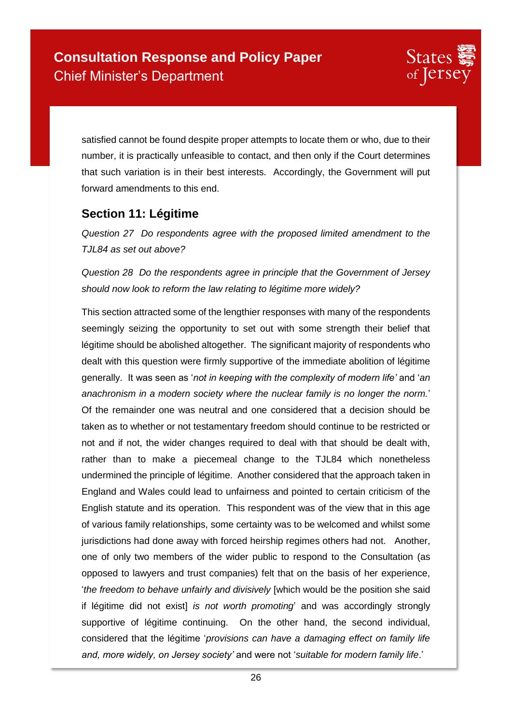

satisfied cannot be found despite proper attempts to locate them or who, due to their number, it is practically unfeasible to contact, and then only if the Court determines that such variation is in their best interests. Accordingly, the Government will put forward amendments to this end.

### **Section 11: Légitime**

*Question 27 Do respondents agree with the proposed limited amendment to the TJL84 as set out above?* 

*Question 28 Do the respondents agree in principle that the Government of Jersey should now look to reform the law relating to légitime more widely?* 

This section attracted some of the lengthier responses with many of the respondents seemingly seizing the opportunity to set out with some strength their belief that légitime should be abolished altogether. The significant majority of respondents who dealt with this question were firmly supportive of the immediate abolition of légitime generally. It was seen as '*not in keeping with the complexity of modern life'* and '*an anachronism in a modern society where the nuclear family is no longer the norm.*' Of the remainder one was neutral and one considered that a decision should be taken as to whether or not testamentary freedom should continue to be restricted or not and if not, the wider changes required to deal with that should be dealt with, rather than to make a piecemeal change to the TJL84 which nonetheless undermined the principle of légitime. Another considered that the approach taken in England and Wales could lead to unfairness and pointed to certain criticism of the English statute and its operation. This respondent was of the view that in this age of various family relationships, some certainty was to be welcomed and whilst some jurisdictions had done away with forced heirship regimes others had not. Another, one of only two members of the wider public to respond to the Consultation (as opposed to lawyers and trust companies) felt that on the basis of her experience, '*the freedom to behave unfairly and divisively* [which would be the position she said if légitime did not exist] *is not worth promoting*' and was accordingly strongly supportive of légitime continuing. On the other hand, the second individual, considered that the légitime '*provisions can have a damaging effect on family life and, more widely, on Jersey society'* and were not '*suitable for modern family life*.'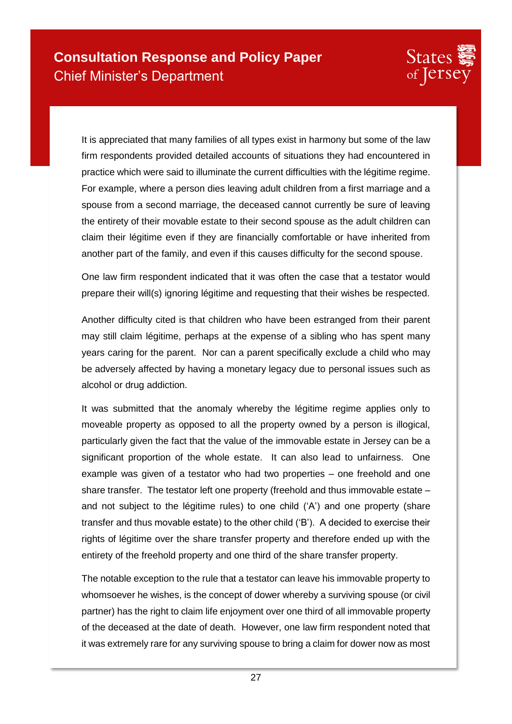

It is appreciated that many families of all types exist in harmony but some of the law firm respondents provided detailed accounts of situations they had encountered in practice which were said to illuminate the current difficulties with the légitime regime. For example, where a person dies leaving adult children from a first marriage and a spouse from a second marriage, the deceased cannot currently be sure of leaving the entirety of their movable estate to their second spouse as the adult children can claim their légitime even if they are financially comfortable or have inherited from another part of the family, and even if this causes difficulty for the second spouse.

One law firm respondent indicated that it was often the case that a testator would prepare their will(s) ignoring légitime and requesting that their wishes be respected.

Another difficulty cited is that children who have been estranged from their parent may still claim légitime, perhaps at the expense of a sibling who has spent many years caring for the parent. Nor can a parent specifically exclude a child who may be adversely affected by having a monetary legacy due to personal issues such as alcohol or drug addiction.

It was submitted that the anomaly whereby the légitime regime applies only to moveable property as opposed to all the property owned by a person is illogical, particularly given the fact that the value of the immovable estate in Jersey can be a significant proportion of the whole estate. It can also lead to unfairness. One example was given of a testator who had two properties – one freehold and one share transfer. The testator left one property (freehold and thus immovable estate – and not subject to the légitime rules) to one child ('A') and one property (share transfer and thus movable estate) to the other child ('B'). A decided to exercise their rights of légitime over the share transfer property and therefore ended up with the entirety of the freehold property and one third of the share transfer property.

The notable exception to the rule that a testator can leave his immovable property to whomsoever he wishes, is the concept of dower whereby a surviving spouse (or civil partner) has the right to claim life enjoyment over one third of all immovable property of the deceased at the date of death. However, one law firm respondent noted that it was extremely rare for any surviving spouse to bring a claim for dower now as most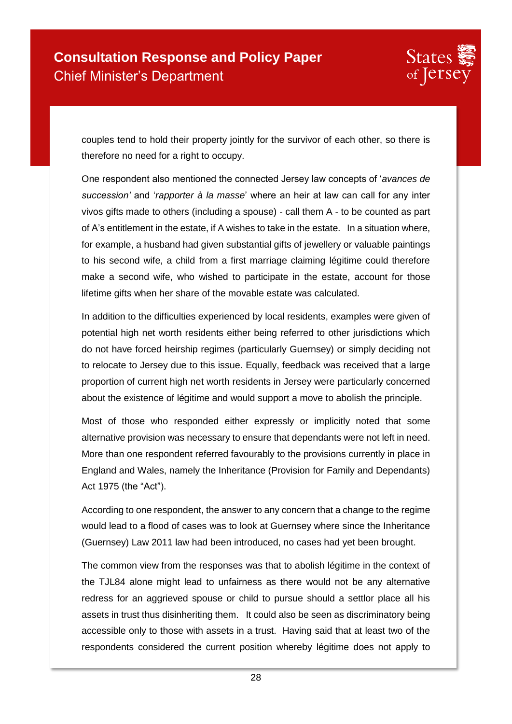

couples tend to hold their property jointly for the survivor of each other, so there is therefore no need for a right to occupy.

One respondent also mentioned the connected Jersey law concepts of '*avances de succession'* and '*rapporter à la masse*' where an heir at law can call for any inter vivos gifts made to others (including a spouse) - call them A - to be counted as part of A's entitlement in the estate, if A wishes to take in the estate. In a situation where, for example, a husband had given substantial gifts of jewellery or valuable paintings to his second wife, a child from a first marriage claiming légitime could therefore make a second wife, who wished to participate in the estate, account for those lifetime gifts when her share of the movable estate was calculated.

In addition to the difficulties experienced by local residents, examples were given of potential high net worth residents either being referred to other jurisdictions which do not have forced heirship regimes (particularly Guernsey) or simply deciding not to relocate to Jersey due to this issue. Equally, feedback was received that a large proportion of current high net worth residents in Jersey were particularly concerned about the existence of légitime and would support a move to abolish the principle.

Most of those who responded either expressly or implicitly noted that some alternative provision was necessary to ensure that dependants were not left in need. More than one respondent referred favourably to the provisions currently in place in England and Wales, namely the Inheritance (Provision for Family and Dependants) Act 1975 (the "Act").

According to one respondent, the answer to any concern that a change to the regime would lead to a flood of cases was to look at Guernsey where since the Inheritance (Guernsey) Law 2011 law had been introduced, no cases had yet been brought.

The common view from the responses was that to abolish légitime in the context of the TJL84 alone might lead to unfairness as there would not be any alternative redress for an aggrieved spouse or child to pursue should a settlor place all his assets in trust thus disinheriting them. It could also be seen as discriminatory being accessible only to those with assets in a trust. Having said that at least two of the respondents considered the current position whereby légitime does not apply to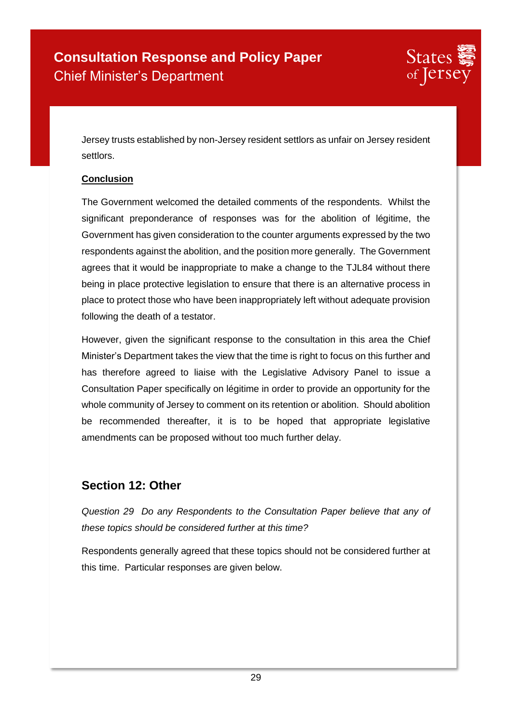

Jersey trusts established by non-Jersey resident settlors as unfair on Jersey resident settlors.

#### **Conclusion**

The Government welcomed the detailed comments of the respondents. Whilst the significant preponderance of responses was for the abolition of légitime, the Government has given consideration to the counter arguments expressed by the two respondents against the abolition, and the position more generally. The Government agrees that it would be inappropriate to make a change to the TJL84 without there being in place protective legislation to ensure that there is an alternative process in place to protect those who have been inappropriately left without adequate provision following the death of a testator.

However, given the significant response to the consultation in this area the Chief Minister's Department takes the view that the time is right to focus on this further and has therefore agreed to liaise with the Legislative Advisory Panel to issue a Consultation Paper specifically on légitime in order to provide an opportunity for the whole community of Jersey to comment on its retention or abolition. Should abolition be recommended thereafter, it is to be hoped that appropriate legislative amendments can be proposed without too much further delay.

### **Section 12: Other**

*Question 29 Do any Respondents to the Consultation Paper believe that any of these topics should be considered further at this time?*

Respondents generally agreed that these topics should not be considered further at this time. Particular responses are given below.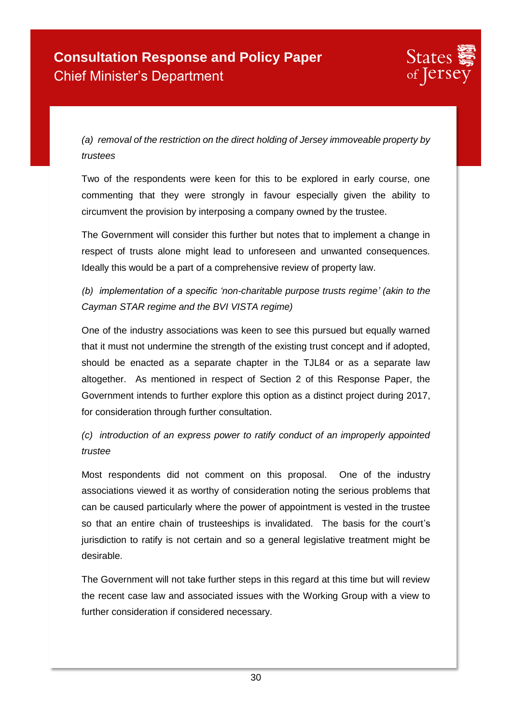

*(a) removal of the restriction on the direct holding of Jersey immoveable property by trustees*

Two of the respondents were keen for this to be explored in early course, one commenting that they were strongly in favour especially given the ability to circumvent the provision by interposing a company owned by the trustee.

The Government will consider this further but notes that to implement a change in respect of trusts alone might lead to unforeseen and unwanted consequences. Ideally this would be a part of a comprehensive review of property law.

*(b) implementation of a specific 'non-charitable purpose trusts regime' (akin to the Cayman STAR regime and the BVI VISTA regime)*

One of the industry associations was keen to see this pursued but equally warned that it must not undermine the strength of the existing trust concept and if adopted, should be enacted as a separate chapter in the TJL84 or as a separate law altogether. As mentioned in respect of Section 2 of this Response Paper, the Government intends to further explore this option as a distinct project during 2017, for consideration through further consultation.

*(c) introduction of an express power to ratify conduct of an improperly appointed trustee*

Most respondents did not comment on this proposal. One of the industry associations viewed it as worthy of consideration noting the serious problems that can be caused particularly where the power of appointment is vested in the trustee so that an entire chain of trusteeships is invalidated. The basis for the court's jurisdiction to ratify is not certain and so a general legislative treatment might be desirable.

The Government will not take further steps in this regard at this time but will review the recent case law and associated issues with the Working Group with a view to further consideration if considered necessary.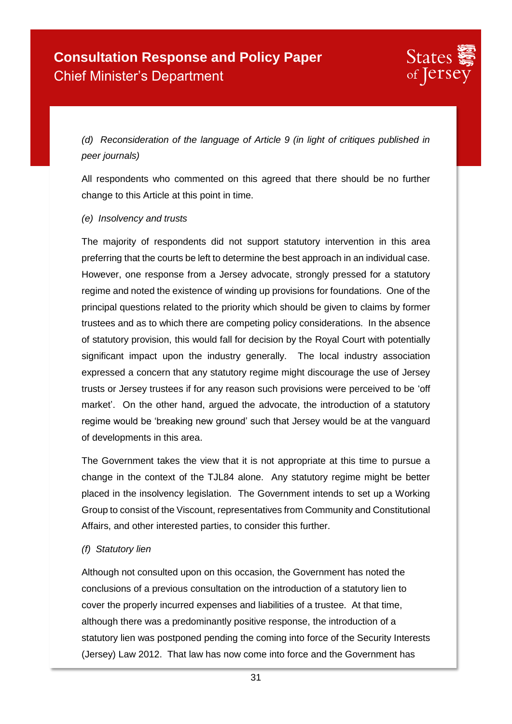

*(d) Reconsideration of the language of Article 9 (in light of critiques published in peer journals)*

All respondents who commented on this agreed that there should be no further change to this Article at this point in time.

#### *(e) Insolvency and trusts*

The majority of respondents did not support statutory intervention in this area preferring that the courts be left to determine the best approach in an individual case. However, one response from a Jersey advocate, strongly pressed for a statutory regime and noted the existence of winding up provisions for foundations. One of the principal questions related to the priority which should be given to claims by former trustees and as to which there are competing policy considerations. In the absence of statutory provision, this would fall for decision by the Royal Court with potentially significant impact upon the industry generally. The local industry association expressed a concern that any statutory regime might discourage the use of Jersey trusts or Jersey trustees if for any reason such provisions were perceived to be 'off market'. On the other hand, argued the advocate, the introduction of a statutory regime would be 'breaking new ground' such that Jersey would be at the vanguard of developments in this area.

The Government takes the view that it is not appropriate at this time to pursue a change in the context of the TJL84 alone. Any statutory regime might be better placed in the insolvency legislation. The Government intends to set up a Working Group to consist of the Viscount, representatives from Community and Constitutional Affairs, and other interested parties, to consider this further.

#### *(f) Statutory lien*

Although not consulted upon on this occasion, the Government has noted the conclusions of a previous consultation on the introduction of a statutory lien to cover the properly incurred expenses and liabilities of a trustee. At that time, although there was a predominantly positive response, the introduction of a statutory lien was postponed pending the coming into force of the Security Interests (Jersey) Law 2012. That law has now come into force and the Government has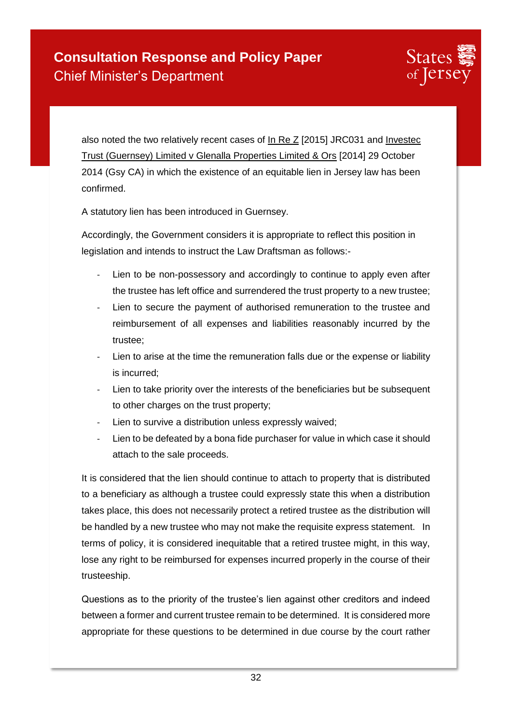

also noted the two relatively recent cases of In Re Z [2015] JRC031 and Investec Trust (Guernsey) Limited v Glenalla Properties Limited & Ors [2014] 29 October 2014 (Gsy CA) in which the existence of an equitable lien in Jersey law has been confirmed.

A statutory lien has been introduced in Guernsey.

Accordingly, the Government considers it is appropriate to reflect this position in legislation and intends to instruct the Law Draftsman as follows:-

- Lien to be non-possessory and accordingly to continue to apply even after the trustee has left office and surrendered the trust property to a new trustee;
- Lien to secure the payment of authorised remuneration to the trustee and reimbursement of all expenses and liabilities reasonably incurred by the trustee;
- Lien to arise at the time the remuneration falls due or the expense or liability is incurred;
- Lien to take priority over the interests of the beneficiaries but be subsequent to other charges on the trust property;
- Lien to survive a distribution unless expressly waived;
- Lien to be defeated by a bona fide purchaser for value in which case it should attach to the sale proceeds.

It is considered that the lien should continue to attach to property that is distributed to a beneficiary as although a trustee could expressly state this when a distribution takes place, this does not necessarily protect a retired trustee as the distribution will be handled by a new trustee who may not make the requisite express statement. In terms of policy, it is considered inequitable that a retired trustee might, in this way, lose any right to be reimbursed for expenses incurred properly in the course of their trusteeship.

Questions as to the priority of the trustee's lien against other creditors and indeed between a former and current trustee remain to be determined. It is considered more appropriate for these questions to be determined in due course by the court rather